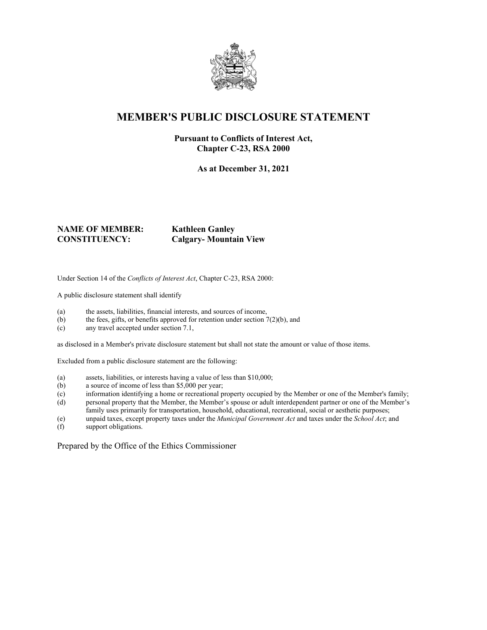

# **MEMBER'S PUBLIC DISCLOSURE STATEMENT**

#### **Pursuant to Conflicts of Interest Act, Chapter C-23, RSA 2000**

**As at December 31, 2021**

# **NAME OF MEMBER: Kathleen Ganley**

**CONSTITUENCY: Calgary- Mountain View**

Under Section 14 of the *Conflicts of Interest Act*, Chapter C-23, RSA 2000:

A public disclosure statement shall identify

- (a) the assets, liabilities, financial interests, and sources of income,
- (b) the fees, gifts, or benefits approved for retention under section  $7(2)(b)$ , and
- (c) any travel accepted under section 7.1,

as disclosed in a Member's private disclosure statement but shall not state the amount or value of those items.

Excluded from a public disclosure statement are the following:

- (a) assets, liabilities, or interests having a value of less than \$10,000;
- (b) a source of income of less than \$5,000 per year;
- (c) information identifying a home or recreational property occupied by the Member or one of the Member's family;
- (d) personal property that the Member, the Member's spouse or adult interdependent partner or one of the Member's family uses primarily for transportation, household, educational, recreational, social or aesthetic purposes;
- (e) unpaid taxes, except property taxes under the *Municipal Government Act* and taxes under the *School Act*; and
- support obligations.

Prepared by the Office of the Ethics Commissioner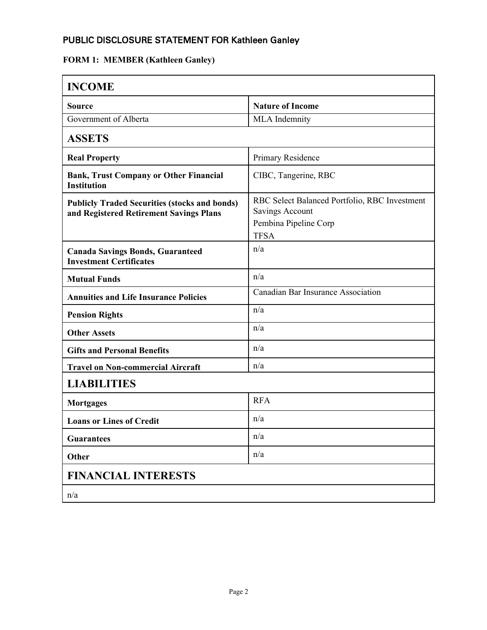# PUBLIC DISCLOSURE STATEMENT FOR Kathleen Ganley

# **FORM 1: MEMBER (Kathleen Ganley)**

| <b>INCOME</b>                                                                                   |                                                                                                          |
|-------------------------------------------------------------------------------------------------|----------------------------------------------------------------------------------------------------------|
| <b>Source</b>                                                                                   | <b>Nature of Income</b>                                                                                  |
| Government of Alberta                                                                           | <b>MLA</b> Indemnity                                                                                     |
| <b>ASSETS</b>                                                                                   |                                                                                                          |
| <b>Real Property</b>                                                                            | Primary Residence                                                                                        |
| <b>Bank, Trust Company or Other Financial</b><br><b>Institution</b>                             | CIBC, Tangerine, RBC                                                                                     |
| <b>Publicly Traded Securities (stocks and bonds)</b><br>and Registered Retirement Savings Plans | RBC Select Balanced Portfolio, RBC Investment<br>Savings Account<br>Pembina Pipeline Corp<br><b>TFSA</b> |
| <b>Canada Savings Bonds, Guaranteed</b><br><b>Investment Certificates</b>                       | n/a                                                                                                      |
| <b>Mutual Funds</b>                                                                             | n/a                                                                                                      |
| <b>Annuities and Life Insurance Policies</b>                                                    | Canadian Bar Insurance Association                                                                       |
| <b>Pension Rights</b>                                                                           | n/a                                                                                                      |
| <b>Other Assets</b>                                                                             | n/a                                                                                                      |
| <b>Gifts and Personal Benefits</b>                                                              | n/a                                                                                                      |
| <b>Travel on Non-commercial Aircraft</b>                                                        | n/a                                                                                                      |
| <b>LIABILITIES</b>                                                                              |                                                                                                          |
| <b>Mortgages</b>                                                                                | <b>RFA</b>                                                                                               |
| <b>Loans or Lines of Credit</b>                                                                 | n/a                                                                                                      |
| <b>Guarantees</b>                                                                               | n/a                                                                                                      |
| Other                                                                                           | n/a                                                                                                      |
| <b>FINANCIAL INTERESTS</b>                                                                      |                                                                                                          |
| n/a                                                                                             |                                                                                                          |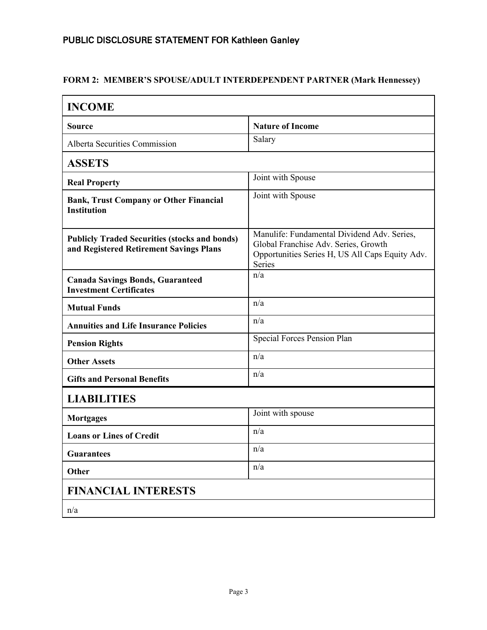#### PUBLIC DISCLOSURE STATEMENT FOR Kathleen Ganley

#### **FORM 2: MEMBER'S SPOUSE/ADULT INTERDEPENDENT PARTNER (Mark Hennessey)**

| <b>INCOME</b>                                                                                   |                                                                                                                                                  |
|-------------------------------------------------------------------------------------------------|--------------------------------------------------------------------------------------------------------------------------------------------------|
| <b>Source</b>                                                                                   | <b>Nature of Income</b>                                                                                                                          |
| Alberta Securities Commission                                                                   | Salary                                                                                                                                           |
| <b>ASSETS</b>                                                                                   |                                                                                                                                                  |
| <b>Real Property</b>                                                                            | Joint with Spouse                                                                                                                                |
| <b>Bank, Trust Company or Other Financial</b><br><b>Institution</b>                             | Joint with Spouse                                                                                                                                |
| <b>Publicly Traded Securities (stocks and bonds)</b><br>and Registered Retirement Savings Plans | Manulife: Fundamental Dividend Adv. Series,<br>Global Franchise Adv. Series, Growth<br>Opportunities Series H, US All Caps Equity Adv.<br>Series |
| <b>Canada Savings Bonds, Guaranteed</b><br><b>Investment Certificates</b>                       | n/a                                                                                                                                              |
| <b>Mutual Funds</b>                                                                             | n/a                                                                                                                                              |
| <b>Annuities and Life Insurance Policies</b>                                                    | n/a                                                                                                                                              |
| <b>Pension Rights</b>                                                                           | Special Forces Pension Plan                                                                                                                      |
| <b>Other Assets</b>                                                                             | n/a                                                                                                                                              |
| <b>Gifts and Personal Benefits</b>                                                              | n/a                                                                                                                                              |
| <b>LIABILITIES</b>                                                                              |                                                                                                                                                  |
| <b>Mortgages</b>                                                                                | Joint with spouse                                                                                                                                |
| <b>Loans or Lines of Credit</b>                                                                 | n/a                                                                                                                                              |
| <b>Guarantees</b>                                                                               | n/a                                                                                                                                              |
| Other                                                                                           | n/a                                                                                                                                              |
| <b>FINANCIAL INTERESTS</b>                                                                      |                                                                                                                                                  |
| n/a                                                                                             |                                                                                                                                                  |